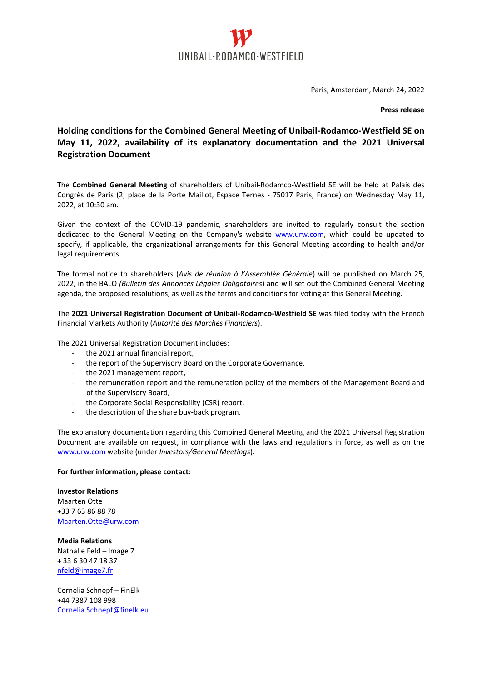

Paris, Amsterdam, March 24, 2022

**Press release**

## **Holding conditions for the Combined General Meeting of Unibail-Rodamco-Westfield SE on May 11, 2022, availability of its explanatory documentation and the 2021 Universal Registration Document**

The **Combined General Meeting** of shareholders of Unibail-Rodamco-Westfield SE will be held at Palais des Congrès de Paris (2, place de la Porte Maillot, Espace Ternes - 75017 Paris, France) on Wednesday May 11, 2022, at 10:30 am.

Given the context of the COVID-19 pandemic, shareholders are invited to regularly consult the section dedicated to the General Meeting on the Company's website [www.urw.com,](http://www.urw.com/) which could be updated to specify, if applicable, the organizational arrangements for this General Meeting according to health and/or legal requirements.

The formal notice to shareholders (*Avis de réunion à l'Assemblée Générale*) will be published on March 25, 2022, in the BALO *(Bulletin des Annonces Légales Obligatoires*) and will set out the Combined General Meeting agenda, the proposed resolutions, as well as the terms and conditions for voting at this General Meeting.

The **2021 Universal Registration Document of Unibail-Rodamco-Westfield SE** was filed today with the French Financial Markets Authority (*Autorité des Marchés Financiers*).

The 2021 Universal Registration Document includes:

- the 2021 annual financial report,
- the report of the Supervisory Board on the Corporate Governance,
- the 2021 management report,
- the remuneration report and the remuneration policy of the members of the Management Board and of the Supervisory Board,
- the Corporate Social Responsibility (CSR) report,
- the description of the share buy-back program.

The explanatory documentation regarding this Combined General Meeting and the 2021 Universal Registration Document are available on request, in compliance with the laws and regulations in force, as well as on the [www.urw.com](http://www.urw.com/) website (under *Investors/General Meetings*).

## **For further information, please contact:**

**Investor Relations** Maarten Otte +33 7 63 86 88 78 [Maarten.Otte@urw.com](mailto:Maarten.Otte@urw.com)

**Media Relations** Nathalie Feld – Image 7 + 33 6 30 47 18 37 [nfeld@image7.fr](mailto:nfeld@image7.fr)

Cornelia Schnepf – FinElk +44 7387 108 998 [Cornelia.Schnepf@finelk.eu](mailto:Cornelia.Schnepf@finelk.eu)